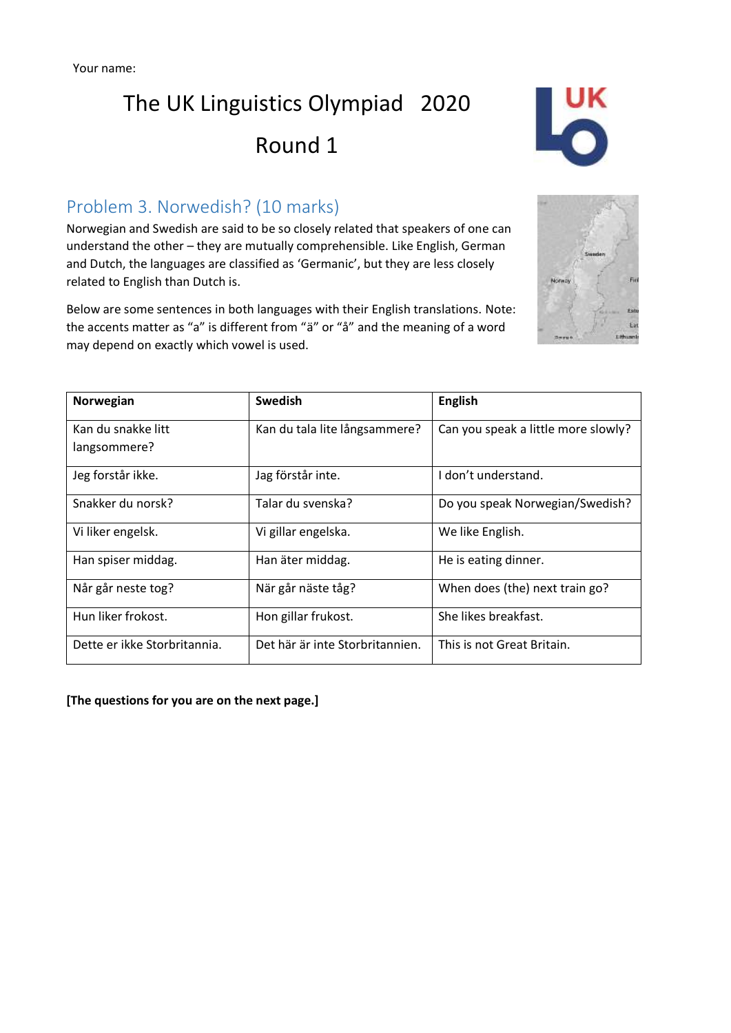## The UK Linguistics Olympiad 2020 Round 1



#### Problem 3. Norwedish? (10 marks)

Norwegian and Swedish are said to be so closely related that speakers of one can understand the other – they are mutually comprehensible. Like English, German and Dutch, the languages are classified as 'Germanic', but they are less closely related to English than Dutch is.

Below are some sentences in both languages with their English translations. Note: the accents matter as "a" is different from "ä" or "å" and the meaning of a word may depend on exactly which vowel is used.



| Norwegian                    | <b>Swedish</b>                  | <b>English</b>                      |
|------------------------------|---------------------------------|-------------------------------------|
| Kan du snakke litt           | Kan du tala lite långsammere?   | Can you speak a little more slowly? |
| langsommere?                 |                                 |                                     |
| Jeg forstår ikke.            | Jag förstår inte.               | I don't understand.                 |
| Snakker du norsk?            | Talar du svenska?               | Do you speak Norwegian/Swedish?     |
| Vi liker engelsk.            | Vi gillar engelska.             | We like English.                    |
| Han spiser middag.           | Han äter middag.                | He is eating dinner.                |
| Når går neste tog?           | När går näste tåg?              | When does (the) next train go?      |
| Hun liker frokost.           | Hon gillar frukost.             | She likes breakfast.                |
| Dette er ikke Storbritannia. | Det här är inte Storbritannien. | This is not Great Britain.          |

**[The questions for you are on the next page.]**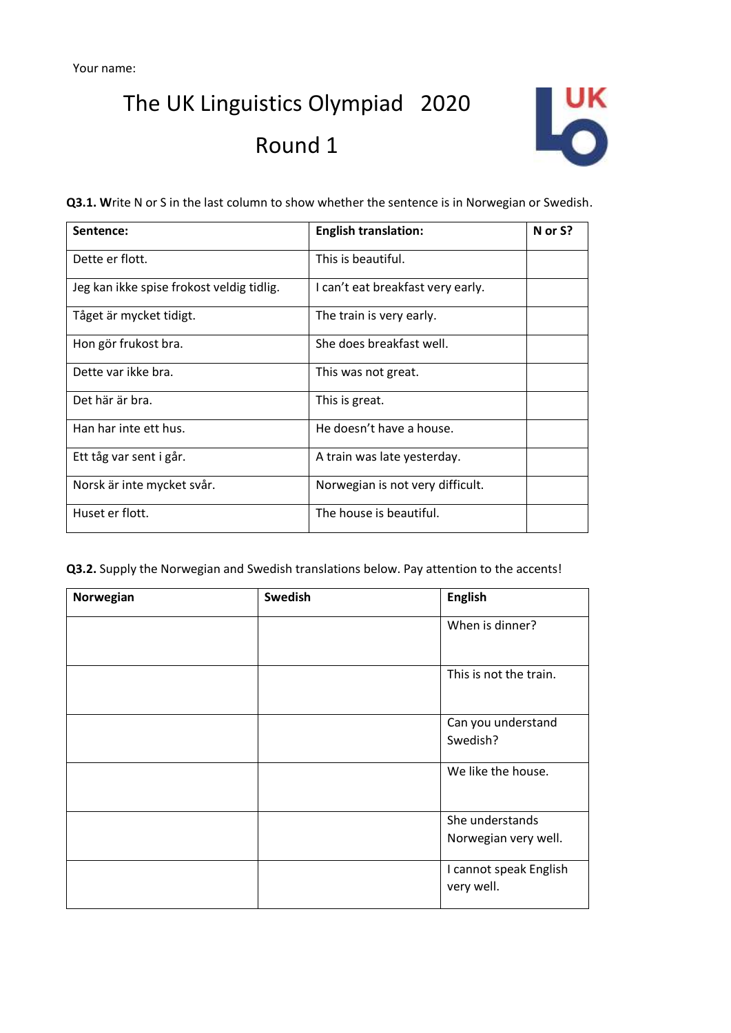The UK Linguistics Olympiad 2020 Round 1



**Q3.1. W**rite N or S in the last column to show whether the sentence is in Norwegian or Swedish.

| Sentence:                                 | <b>English translation:</b>       | N or S? |
|-------------------------------------------|-----------------------------------|---------|
| Dette er flott.                           | This is beautiful.                |         |
| Jeg kan ikke spise frokost veldig tidlig. | I can't eat breakfast very early. |         |
| Tåget är mycket tidigt.                   | The train is very early.          |         |
| Hon gör frukost bra.                      | She does breakfast well.          |         |
| Dette var ikke bra.                       | This was not great.               |         |
| Det här är bra.                           | This is great.                    |         |
| Han har inte ett hus.                     | He doesn't have a house.          |         |
| Ett tåg var sent i går.                   | A train was late yesterday.       |         |
| Norsk är inte mycket svår.                | Norwegian is not very difficult.  |         |
| Huset er flott.                           | The house is beautiful.           |         |

**Q3.2.** Supply the Norwegian and Swedish translations below. Pay attention to the accents!

| Norwegian | <b>Swedish</b> | <b>English</b>                          |
|-----------|----------------|-----------------------------------------|
|           |                | When is dinner?                         |
|           |                | This is not the train.                  |
|           |                | Can you understand<br>Swedish?          |
|           |                | We like the house.                      |
|           |                | She understands<br>Norwegian very well. |
|           |                | I cannot speak English<br>very well.    |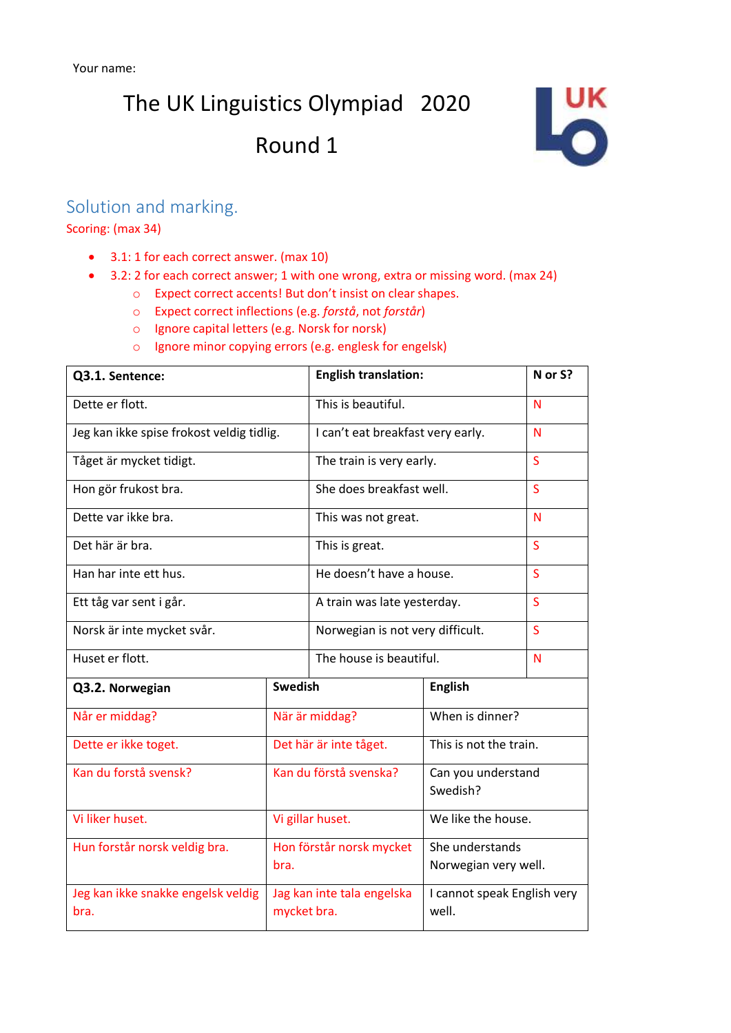The UK Linguistics Olympiad 2020

### Round 1



#### Solution and marking.

Scoring: (max 34)

- 3.1: 1 for each correct answer. (max 10)
- 3.2: 2 for each correct answer; 1 with one wrong, extra or missing word. (max 24)
	- o Expect correct accents! But don't insist on clear shapes.
	- o Expect correct inflections (e.g. *forstå*, not *forstår*)
	- o Ignore capital letters (e.g. Norsk for norsk)
	- o Ignore minor copying errors (e.g. englesk for engelsk)

| Q3.1. Sentence:                            |                                           | <b>English translation:</b>      |                                      | N or S? |
|--------------------------------------------|-------------------------------------------|----------------------------------|--------------------------------------|---------|
| Dette er flott.                            | This is beautiful.                        |                                  | N                                    |         |
| Jeg kan ikke spise frokost veldig tidlig.  | I can't eat breakfast very early.         |                                  | N                                    |         |
| Tåget är mycket tidigt.                    | The train is very early.                  |                                  | S.                                   |         |
| Hon gör frukost bra.                       | She does breakfast well.                  |                                  | S                                    |         |
| Dette var ikke bra.                        | This was not great.                       |                                  | N                                    |         |
| Det här är bra.                            | This is great.                            |                                  | S                                    |         |
| Han har inte ett hus.                      | He doesn't have a house.                  |                                  | S                                    |         |
| Ett tåg var sent i går.                    |                                           | A train was late yesterday.      |                                      | S       |
| Norsk är inte mycket svår.                 |                                           | Norwegian is not very difficult. |                                      | S       |
| Huset er flott.                            |                                           | The house is beautiful.          |                                      | N       |
| Q3.2. Norwegian                            | <b>Swedish</b>                            |                                  | <b>English</b>                       |         |
| Når er middag?                             | När är middag?                            |                                  | When is dinner?                      |         |
| Dette er ikke toget.                       | Det här är inte tåget.                    |                                  | This is not the train.               |         |
| Kan du forstå svensk?                      | Kan du förstå svenska?                    |                                  | Can you understand<br>Swedish?       |         |
| Vi liker huset.                            | Vi gillar huset.                          |                                  | We like the house.                   |         |
| Hun forstår norsk veldig bra.              |                                           | Hon förstår norsk mycket         | She understands                      |         |
|                                            | bra.                                      |                                  | Norwegian very well.                 |         |
| Jeg kan ikke snakke engelsk veldig<br>bra. | Jag kan inte tala engelska<br>mycket bra. |                                  | I cannot speak English very<br>well. |         |